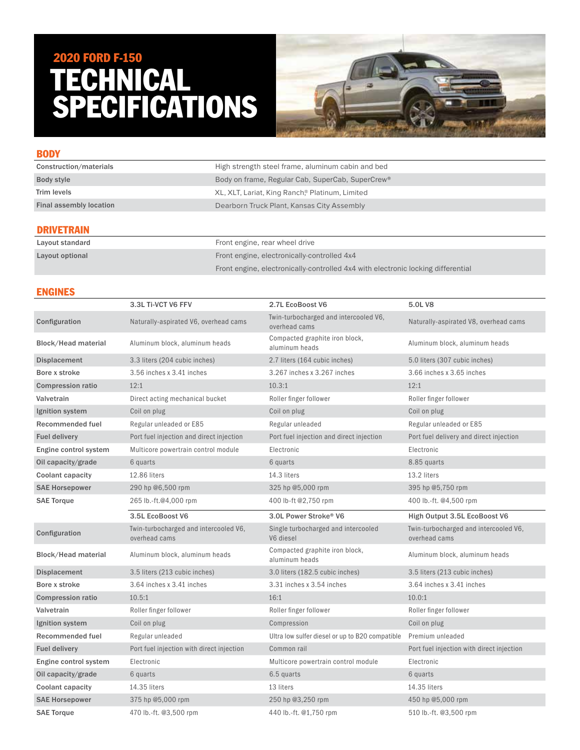# TECHNICAL SPECIFICATIONS 2020 FORD F-150



| <b>BODY</b>                    |                                                              |
|--------------------------------|--------------------------------------------------------------|
| Construction/materials         | High strength steel frame, aluminum cabin and bed            |
| Body style                     | Body on frame, Regular Cab, SuperCab, SuperCrew <sup>®</sup> |
| Trim levels                    | XL, XLT, Lariat, King Ranch® Platinum, Limited               |
| <b>Final assembly location</b> | Dearborn Truck Plant, Kansas City Assembly                   |
| <b>DRIVETRAIN</b>              |                                                              |

| Layout standard | Front engine, rear wheel drive                                                   |
|-----------------|----------------------------------------------------------------------------------|
| Lavout optional | Front engine, electronically-controlled 4x4                                      |
|                 | Front engine, electronically-controlled 4x4 with electronic locking differential |

# ENGINES

|                            | 3.3L Ti-VCT V6 FFV                                     | 2.7L EcoBoost V6                                       | 5.0L V8                                                |
|----------------------------|--------------------------------------------------------|--------------------------------------------------------|--------------------------------------------------------|
| Configuration              | Naturally-aspirated V6, overhead cams                  | Twin-turbocharged and intercooled V6,<br>overhead cams | Naturally-aspirated V8, overhead cams                  |
| <b>Block/Head material</b> | Aluminum block, aluminum heads                         | Compacted graphite iron block,<br>aluminum heads       | Aluminum block, aluminum heads                         |
| <b>Displacement</b>        | 3.3 liters (204 cubic inches)                          | 2.7 liters (164 cubic inches)                          | 5.0 liters (307 cubic inches)                          |
| Bore x stroke              | 3.56 inches x 3.41 inches                              | 3.267 inches x 3.267 inches                            | 3.66 inches x 3.65 inches                              |
| <b>Compression ratio</b>   | 12:1                                                   | 10.3:1                                                 | 12:1                                                   |
| Valvetrain                 | Direct acting mechanical bucket                        | Roller finger follower                                 | Roller finger follower                                 |
| Ignition system            | Coil on plug                                           | Coil on plug                                           | Coil on plug                                           |
| Recommended fuel           | Regular unleaded or E85                                | Regular unleaded                                       | Regular unleaded or E85                                |
| <b>Fuel delivery</b>       | Port fuel injection and direct injection               | Port fuel injection and direct injection               | Port fuel delivery and direct injection                |
| Engine control system      | Multicore powertrain control module                    | Electronic                                             | Electronic                                             |
| Oil capacity/grade         | 6 quarts                                               | 6 quarts                                               | 8.85 quarts                                            |
| Coolant capacity           | 12.86 liters                                           | 14.3 liters                                            | 13.2 liters                                            |
| <b>SAE Horsepower</b>      | 290 hp @6,500 rpm                                      | 325 hp @5,000 rpm                                      | 395 hp @5,750 rpm                                      |
| <b>SAE Torque</b>          | 265 lb.-ft.@4,000 rpm                                  | 400 lb-ft @2,750 rpm                                   | 400 lb.-ft. @4,500 rpm                                 |
|                            |                                                        |                                                        |                                                        |
|                            | 3.5L EcoBoost V6                                       | 3.0L Power Stroke® V6                                  | High Output 3.5L EcoBoost V6                           |
| Configuration              | Twin-turbocharged and intercooled V6,<br>overhead cams | Single turbocharged and intercooled<br>V6 diesel       | Twin-turbocharged and intercooled V6,<br>overhead cams |
| <b>Block/Head material</b> | Aluminum block, aluminum heads                         | Compacted graphite iron block,<br>aluminum heads       | Aluminum block, aluminum heads                         |
| <b>Displacement</b>        | 3.5 liters (213 cubic inches)                          | 3.0 liters (182.5 cubic inches)                        | 3.5 liters (213 cubic inches)                          |
| Bore x stroke              | 3.64 inches x 3.41 inches                              | 3.31 inches x 3.54 inches                              | 3.64 inches x 3.41 inches                              |
| <b>Compression ratio</b>   | 10.5:1                                                 | 16:1                                                   | 10.0:1                                                 |
| Valvetrain                 | Roller finger follower                                 | Roller finger follower                                 | Roller finger follower                                 |
| Ignition system            | Coil on plug                                           | Compression                                            | Coil on plug                                           |
| Recommended fuel           | Regular unleaded                                       | Ultra low sulfer diesel or up to B20 compatible        | Premium unleaded                                       |
| <b>Fuel delivery</b>       | Port fuel injection with direct injection              | Common rail                                            | Port fuel injection with direct injection              |
| Engine control system      | Electronic                                             | Multicore powertrain control module                    | Electronic                                             |
| Oil capacity/grade         | 6 quarts                                               | 6.5 quarts                                             | 6 quarts                                               |
| Coolant capacity           | 14.35 liters                                           | 13 liters                                              | 14.35 liters                                           |
| <b>SAE Horsepower</b>      | 375 hp @5,000 rpm                                      | 250 hp @3,250 rpm                                      | 450 hp @5,000 rpm                                      |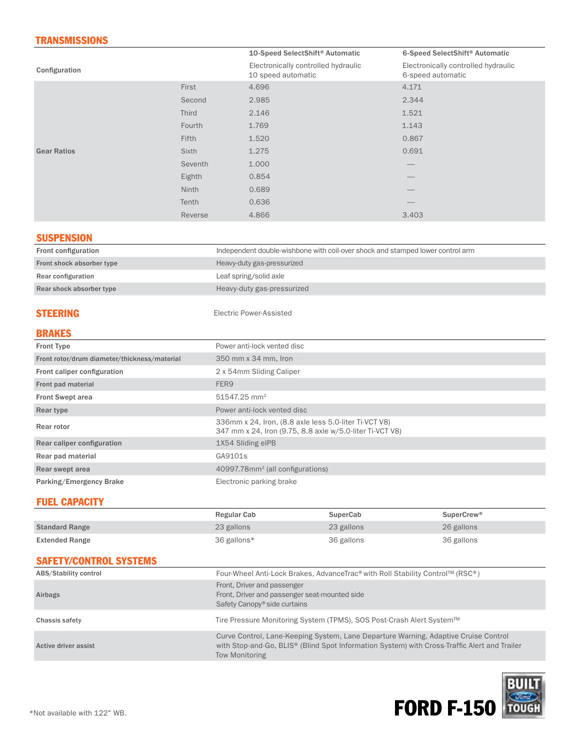# **TRANSMISSIONS**

|                    |              | 10-Speed SelectShift <sup>®</sup> Automatic               | 6-Speed SelectShift <sup>®</sup> Automatic               |
|--------------------|--------------|-----------------------------------------------------------|----------------------------------------------------------|
| Configuration      |              | Electronically controlled hydraulic<br>10 speed automatic | Electronically controlled hydraulic<br>6-speed automatic |
|                    | First        | 4.696                                                     | 4.171                                                    |
|                    | Second       | 2.985                                                     | 2.344                                                    |
|                    | <b>Third</b> | 2.146                                                     | 1.521                                                    |
|                    | Fourth       | 1.769                                                     | 1.143                                                    |
|                    | Fifth        | 1.520                                                     | 0.867                                                    |
| <b>Gear Ratios</b> | Sixth        | 1.275                                                     | 0.691                                                    |
|                    | Seventh      | 1.000                                                     |                                                          |
|                    | Eighth       | 0.854                                                     |                                                          |
|                    | Ninth        | 0.689                                                     |                                                          |
|                    | Tenth        | 0.636                                                     | __                                                       |
|                    | Reverse      | 4.866                                                     | 3.403                                                    |

#### **SUSPENSION**

| <b>Front configuration</b> | Independent double-wishbone with coil-over shock and stamped lower control arm |
|----------------------------|--------------------------------------------------------------------------------|
| Front shock absorber type  | Heavy-duty gas-pressurized                                                     |
| Rear configuration         | Leaf spring/solid axle                                                         |
| Rear shock absorber type   | Heavy-duty gas-pressurized                                                     |
|                            |                                                                                |

STEERING Electric Power-Assisted

#### BRAKES

| <b>Front Type</b>                            | Power anti-lock vented disc                                                                                       |
|----------------------------------------------|-------------------------------------------------------------------------------------------------------------------|
| Front rotor/drum diameter/thickness/material | 350 mm x 34 mm, Iron                                                                                              |
| Front caliper configuration                  | 2 x 54mm Sliding Caliper                                                                                          |
| Front pad material                           | FER <sub>9</sub>                                                                                                  |
| <b>Front Swept area</b>                      | 51547.25 mm <sup>2</sup>                                                                                          |
| Rear type                                    | Power anti-lock vented disc                                                                                       |
| Rear rotor                                   | 336mm x 24, Iron, (8.8 axle less 5.0-liter Ti-VCT V8)<br>347 mm x 24, Iron (9.75, 8.8 axle w/5.0-liter Ti-VCT V8) |
| Rear caliper configuration                   | 1X54 Sliding eIPB                                                                                                 |
| Rear pad material                            | GA9101s                                                                                                           |
| Rear swept area                              | 40997.78mm <sup>2</sup> (all configurations)                                                                      |
| Parking/Emergency Brake                      | Electronic parking brake                                                                                          |

# FUEL CAPACITY

|                       | Regular Cab | SuperCab   | SuperCrew <sup>®</sup> |
|-----------------------|-------------|------------|------------------------|
| <b>Standard Range</b> | 23 gallons  | 23 gallons | 26 gallons             |
| <b>Extended Range</b> | 36 gallons* | 36 gallons | 36 gallons             |

# SAFETY/CONTROL SYSTEMS

| ABS/Stability control | Four-Wheel Anti-Lock Brakes, AdvanceTrac® with Roll Stability Control™ (RSC®)                                                                                                                         |
|-----------------------|-------------------------------------------------------------------------------------------------------------------------------------------------------------------------------------------------------|
| Airbags               | Front, Driver and passenger<br>Front, Driver and passenger seat-mounted side<br>Safety Canopy <sup>®</sup> side curtains                                                                              |
| Chassis safety        | Tire Pressure Monitoring System (TPMS), SOS Post-Crash Alert System™                                                                                                                                  |
| Active driver assist  | Curve Control, Lane-Keeping System, Lane Departure Warning, Adaptive Cruise Control<br>with Stop-and-Go, BLIS® (Blind Spot Information System) with Cross-Traffic Alert and Trailer<br>Tow Monitoring |

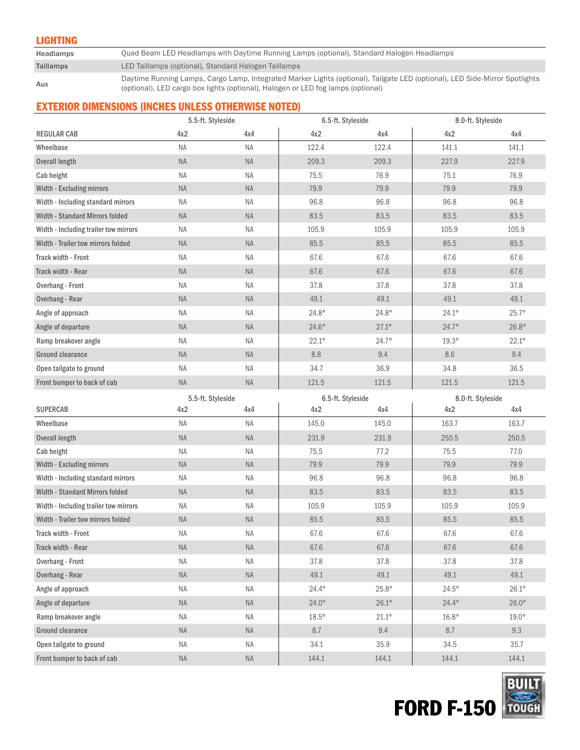#### LIGHTING

Headlamps Quad Beam LED Headlamps with Daytime Running Lamps (optional), Standard Halogen Headlamps

# Taillamps LED Taillamps (optional), Standard Halogen Taillamps

Daytime Running Lamps, Cargo Lamp, Integrated Marker Lights (optional), Tailgate LED (optional), LED Side-Mirror Spotlights (optional), LED Side-Mirror Spotlights (optional), LED cargo box lights (optional), Halogen or LED fog lamps (optional)

# EXTERIOR DIMENSIONS (INCHES UNLESS OTHERWISE NOTED)

|                                        |                          | 5.5-ft. Styleside<br>6.5-ft. Styleside |                   | 8.0-ft. Styleside |                   |              |
|----------------------------------------|--------------------------|----------------------------------------|-------------------|-------------------|-------------------|--------------|
| <b>REGULAR CAB</b>                     | 4x2                      | 4x4                                    | 4x2               | 4x4               | 4x2               | 4x4          |
| Wheelbase                              | <b>NA</b>                | NA                                     | 122.4             | 122.4             | 141.1             | 141.1        |
| <b>Overall length</b>                  | NA                       | <b>NA</b>                              | 209.3             | 209.3             | 227.9             | 227.9        |
| Cab height                             | <b>NA</b>                | <b>NA</b>                              | 75.5              | 76.9              | 75.1              | 76.9         |
| Width - Excluding mirrors              | <b>NA</b>                | <b>NA</b>                              | 79.9              | 79.9              | 79.9              | 79.9         |
| Width - Including standard mirrors     | NA                       | <b>NA</b>                              | 96.8              | 96.8              | 96.8              | 96.8         |
| Width - Standard Mirrors folded        | <b>NA</b>                | <b>NA</b>                              | 83.5              | 83.5              | 83.5              | 83.5         |
| Width - Including trailer tow mirrors  | ΝA                       | <b>NA</b>                              | 105.9             | 105.9             | 105.9             | 105.9        |
| Width - Trailer tow mirrors folded     | <b>NA</b>                | <b>NA</b>                              | 85.5              | 85.5              | 85.5              | 85.5         |
| Track width - Front                    | <b>NA</b>                | <b>NA</b>                              | 67.6              | 67.6              | 67.6              | 67.6         |
| Track width - Rear                     | <b>NA</b>                | <b>NA</b>                              | 67.6              | 67.6              | 67.6              | 67.6         |
| <b>Overhang - Front</b>                | <b>NA</b>                | <b>NA</b>                              | 37.8              | 37.8              | 37.8              | 37.8         |
| Overhang - Rear                        | <b>NA</b>                | <b>NA</b>                              | 49.1              | 49.1              | 49.1              | 49.1         |
| Angle of approach                      | <b>NA</b>                | <b>NA</b>                              | $24.8^\circ$      | $24.8^\circ$      | $24.1^{\circ}$    | $25.7^\circ$ |
| Angle of departure                     | NA                       | <b>NA</b>                              | $24.6^\circ$      | $27.1^{\circ}$    | $24.7^{\circ}$    | $26.8^\circ$ |
| Ramp breakover angle                   | <b>NA</b>                | <b>NA</b>                              | $22.1^\circ$      | $24.7^\circ$      | $19.3^\circ$      | $22.1^\circ$ |
| <b>Ground clearance</b>                | NA                       | <b>NA</b>                              | 8.8               | 9.4               | 8.6               | 9.4          |
| Open tailgate to ground                | <b>NA</b>                | NA                                     | 34.7              | 36.9              | 34.8              | 36.5         |
| Front bumper to back of cab            | <b>NA</b>                | <b>NA</b>                              | 121.5             | 121.5             | 121.5             | 121.5        |
|                                        |                          |                                        |                   |                   |                   |              |
|                                        |                          |                                        | 6.5-ft. Styleside |                   | 8.0-ft. Styleside |              |
| <b>SUPERCAB</b>                        | 5.5-ft. Styleside<br>4x2 | 4x4                                    | 4x2               | 4x4               | 4x2               | 4x4          |
| Wheelbase                              | NA                       | ΝA                                     | 145.0             | 145.0             | 163.7             | 163.7        |
| <b>Overall length</b>                  | <b>NA</b>                | <b>NA</b>                              | 231.9             | 231.9             | 250.5             | 250.5        |
| Cab height                             | NA                       | <b>NA</b>                              | 75.5              | 77.2              | 75.5              | 77.0         |
| Width - Excluding mirrors              | <b>NA</b>                | <b>NA</b>                              | 79.9              | 79.9              | 79.9              | 79.9         |
| Width - Including standard mirrors     | NA                       | <b>NA</b>                              | 96.8              | 96.8              | 96.8              | 96.8         |
| <b>Width - Standard Mirrors folded</b> | <b>NA</b>                | <b>NA</b>                              | 83.5              | 83.5              | 83.5              | 83.5         |
| Width - Including trailer tow mirrors  | NA                       | <b>NA</b>                              | 105.9             | 105.9             | 105.9             | 105.9        |
| Width - Trailer tow mirrors folded     | <b>NA</b>                | <b>NA</b>                              | 85.5              | 85.5              | 85.5              | 85.5         |
| Track width - Front                    | <b>NA</b>                | <b>NA</b>                              | 67.6              | 67.6              | 67.6              | 67.6         |
| Track width - Rear                     | $\sf NA$                 | <b>NA</b>                              | 67.6              | 67.6              | 67.6              | 67.6         |
| <b>Overhang - Front</b>                | ΝA                       | $\sf NA$                               | 37.8              | 37.8              | 37.8              | 37.8         |
| Overhang - Rear                        | $\sf NA$                 | $\sf NA$                               | 49.1              | 49.1              | 49.1              | 49.1         |
| Angle of approach                      | ΝA                       | NA                                     | $24.4^\circ$      | $25.8^\circ$      | $24.5^\circ$      | $26.1^\circ$ |
| Angle of departure                     | $\sf NA$                 | $\sf NA$                               | $24.0^\circ$      | $26.1^\circ$      | $24.4^\circ$      | $26.0^\circ$ |
| Ramp breakover angle                   | ΝA                       | NA                                     | $18.5^\circ$      | $21.1^\circ$      | $16.8^\circ$      | $19.0^\circ$ |
| <b>Ground clearance</b>                | $\sf NA$                 | $\sf NA$                               | 8.7               | 9.4               | 8.7               | 9.3          |
| Open tailgate to ground                | NA                       | ΝA                                     | 34.1              | 35.9              | 34.5              | 35.7         |

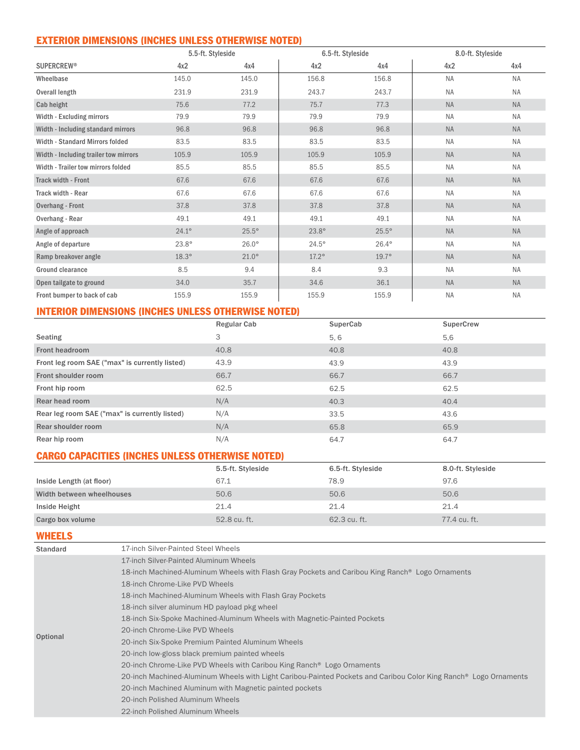# EXTERIOR DIMENSIONS (INCHES UNLESS OTHERWISE NOTED)

|                                       | 5.5-ft. Styleside |              | 6.5-ft. Styleside |              | 8.0-ft. Styleside |           |
|---------------------------------------|-------------------|--------------|-------------------|--------------|-------------------|-----------|
| <b>SUPERCREW®</b>                     | 4x2               | 4x4          | 4x2               | 4x4          | 4x2               | 4x4       |
| Wheelbase                             | 145.0             | 145.0        | 156.8             | 156.8        | <b>NA</b>         | <b>NA</b> |
| Overall length                        | 231.9             | 231.9        | 243.7             | 243.7        | <b>NA</b>         | <b>NA</b> |
| Cab height                            | 75.6              | 77.2         | 75.7              | 77.3         | <b>NA</b>         | <b>NA</b> |
| Width - Excluding mirrors             | 79.9              | 79.9         | 79.9              | 79.9         | <b>NA</b>         | <b>NA</b> |
| Width - Including standard mirrors    | 96.8              | 96.8         | 96.8              | 96.8         | <b>NA</b>         | <b>NA</b> |
| Width - Standard Mirrors folded       | 83.5              | 83.5         | 83.5              | 83.5         | <b>NA</b>         | <b>NA</b> |
| Width - Including trailer tow mirrors | 105.9             | 105.9        | 105.9             | 105.9        | <b>NA</b>         | <b>NA</b> |
| Width - Trailer tow mirrors folded    | 85.5              | 85.5         | 85.5              | 85.5         | <b>NA</b>         | <b>NA</b> |
| <b>Track width - Front</b>            | 67.6              | 67.6         | 67.6              | 67.6         | <b>NA</b>         | <b>NA</b> |
| Track width - Rear                    | 67.6              | 67.6         | 67.6              | 67.6         | <b>NA</b>         | <b>NA</b> |
| <b>Overhang - Front</b>               | 37.8              | 37.8         | 37.8              | 37.8         | <b>NA</b>         | <b>NA</b> |
| Overhang - Rear                       | 49.1              | 49.1         | 49.1              | 49.1         | <b>NA</b>         | <b>NA</b> |
| Angle of approach                     | $24.1^{\circ}$    | $25.5^\circ$ | $23.8^\circ$      | $25.5^\circ$ | <b>NA</b>         | <b>NA</b> |
| Angle of departure                    | $23.8^\circ$      | $26.0^\circ$ | $24.5^\circ$      | $26.4^\circ$ | <b>NA</b>         | <b>NA</b> |
| Ramp breakover angle                  | $18.3^\circ$      | $21.0^\circ$ | $17.2^\circ$      | $19.7^\circ$ | <b>NA</b>         | <b>NA</b> |
| Ground clearance                      | 8.5               | 9.4          | 8.4               | 9.3          | <b>NA</b>         | <b>NA</b> |
| Open tailgate to ground               | 34.0              | 35.7         | 34.6              | 36.1         | <b>NA</b>         | <b>NA</b> |
| Front bumper to back of cab           | 155.9             | 155.9        | 155.9             | 155.9        | <b>NA</b>         | <b>NA</b> |

# INTERIOR DIMENSIONS (INCHES UNLESS OTHERWISE NOTED)

|                                                | Regular Cab | SuperCab | SuperCrew |
|------------------------------------------------|-------------|----------|-----------|
| Seating                                        | 3           | 5, 6     | 5,6       |
| Front headroom                                 | 40.8        | 40.8     | 40.8      |
| Front leg room SAE ("max" is currently listed) | 43.9        | 43.9     | 43.9      |
| Front shoulder room                            | 66.7        | 66.7     | 66.7      |
| Front hip room                                 | 62.5        | 62.5     | 62.5      |
| Rear head room                                 | N/A         | 40.3     | 40.4      |
| Rear leg room SAE ("max" is currently listed)  | N/A         | 33.5     | 43.6      |
| Rear shoulder room                             | N/A         | 65.8     | 65.9      |
| Rear hip room                                  | N/A         | 64.7     | 64.7      |

# CARGO CAPACITIES (INCHES UNLESS OTHERWISE NOTED)

|                           | 5.5-ft. Styleside | 6.5-ft. Styleside | 8.0-ft. Styleside |
|---------------------------|-------------------|-------------------|-------------------|
| Inside Length (at floor)  | 67.1              | 78.9              | 97.6              |
| Width between wheelhouses | 50.6              | 50.6              | 50.6              |
| Inside Height             | 21.4              | 21.4              | 21.4              |
| Cargo box volume          | 52.8 cu. ft.      | 62.3 cu. ft.      | 77.4 cu. ft.      |

#### WHEELS

| Standard | 17-inch Silver-Painted Steel Wheels                                                                                          |
|----------|------------------------------------------------------------------------------------------------------------------------------|
|          | 17-inch Silver-Painted Aluminum Wheels                                                                                       |
|          | 18-inch Machined-Aluminum Wheels with Flash Gray Pockets and Caribou King Ranch <sup>®</sup> Logo Ornaments                  |
|          | 18-inch Chrome-Like PVD Wheels                                                                                               |
|          | 18-inch Machined-Aluminum Wheels with Flash Gray Pockets                                                                     |
|          | 18-inch silver aluminum HD payload pkg wheel                                                                                 |
|          | 18-inch Six-Spoke Machined-Aluminum Wheels with Magnetic-Painted Pockets                                                     |
| Optional | 20-inch Chrome-Like PVD Wheels                                                                                               |
|          | 20-inch Six-Spoke Premium Painted Aluminum Wheels                                                                            |
|          | 20-inch low-gloss black premium painted wheels                                                                               |
|          | 20-inch Chrome-Like PVD Wheels with Caribou King Ranch <sup>®</sup> Logo Ornaments                                           |
|          | 20-inch Machined-Aluminum Wheels with Light Caribou-Painted Pockets and Caribou Color King Ranch <sup>®</sup> Logo Ornaments |
|          | 20-inch Machined Aluminum with Magnetic painted pockets                                                                      |
|          | 20-inch Polished Aluminum Wheels                                                                                             |
|          | 22-inch Polished Aluminum Wheels                                                                                             |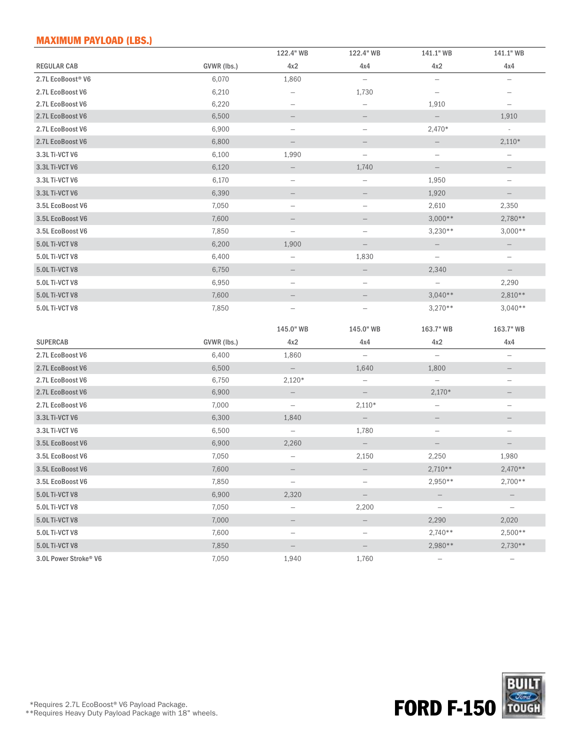# MAXIMUM PAYLOAD (LBS.)

|                                      |                | 122.4" WB                         | 122.4" WB                         | 141.1" WB                           | 141.1" WB                             |
|--------------------------------------|----------------|-----------------------------------|-----------------------------------|-------------------------------------|---------------------------------------|
| <b>REGULAR CAB</b>                   | GVWR (lbs.)    | 4x2                               | 4x4                               | 4x2                                 | 4x4                                   |
| 2.7L EcoBoost <sup>®</sup> V6        | 6,070          | 1,860                             | $\overline{\phantom{m}}$          | $\overline{\phantom{m}}$            | $\overline{\phantom{m}}$              |
| 2.7L EcoBoost V6                     | 6,210          |                                   | 1,730                             | $\overline{\phantom{m}}$            |                                       |
| 2.7L EcoBoost V6                     | 6,220          | $\overline{\phantom{m}}$          | $\qquad \qquad -$                 | 1,910                               |                                       |
| 2.7L EcoBoost V6                     | 6,500          |                                   |                                   | $\overline{\phantom{m}}$            | 1,910                                 |
| 2.7L EcoBoost V6                     | 6,900          | $\overline{\phantom{0}}$          | $\overline{\phantom{a}}$          | 2,470*                              | $\overline{\phantom{a}}$              |
| 2.7L EcoBoost V6                     | 6,800          | -                                 |                                   | $\overline{\phantom{0}}$            | $2,110*$                              |
| 3.3L Ti-VCT V6                       | 6,100          | 1,990                             | $\overline{\phantom{a}}$          | $\overline{\phantom{a}}$            | $\qquad \qquad -$                     |
| 3.3L Ti-VCT V6                       | 6,120          |                                   | 1,740                             | $\overline{\phantom{m}}$            |                                       |
| 3.3L Ti-VCT V6                       | 6,170          | $\overline{\phantom{a}}$          | $\overline{\phantom{a}}$          | 1,950                               | $\qquad \qquad -$                     |
| 3.3L Ti-VCT V6                       | 6,390          |                                   |                                   | 1,920                               | $\qquad \qquad -$                     |
| 3.5L EcoBoost V6                     | 7,050          | $\qquad \qquad -$                 | $\overline{\phantom{a}}$          | 2,610                               | 2,350                                 |
| 3.5L EcoBoost V6                     | 7,600          |                                   |                                   | $3,000**$                           | $2,780**$                             |
| 3.5L EcoBoost V6                     | 7,850          | $\overline{\phantom{a}}$          | $\overline{\phantom{a}}$          | $3,230**$                           | $3,000**$                             |
| <b>5.0L Ti-VCT V8</b>                | 6,200          | 1,900                             | $\overline{\phantom{0}}$          | $\overline{\phantom{a}}$            | $\qquad \qquad -$                     |
| 5.0L Ti-VCT V8                       | 6,400          | -                                 | 1,830                             | $\overline{\phantom{0}}$            | $\overline{\phantom{a}}$              |
| 5.0L Ti-VCT V8                       | 6,750          |                                   |                                   | 2,340                               |                                       |
| 5.0L Ti-VCT V8                       | 6,950          | $\overline{\phantom{0}}$          | $\overline{\phantom{m}}$          | $\overline{\phantom{m}}$            | 2,290                                 |
| <b>5.0L Ti-VCT V8</b>                | 7,600          |                                   |                                   | $3,040**$                           | 2,810**                               |
| 5.0L Ti-VCT V8                       | 7,850          |                                   | $\overline{\phantom{0}}$          | $3,270**$                           | $3,040**$                             |
|                                      |                |                                   |                                   |                                     |                                       |
|                                      |                | 145.0" WB                         | 145.0" WB                         | 163.7" WB                           | 163.7" WB                             |
| <b>SUPERCAB</b>                      | GVWR (lbs.)    | 4x2                               | 4x4                               | 4x2                                 | 4x4                                   |
| 2.7L EcoBoost V6                     | 6,400          | 1,860                             | $\overline{\phantom{m}}$          | $\overline{\phantom{m}}$            | $\qquad \qquad -$                     |
| 2.7L EcoBoost V6                     | 6,500          | $\overline{\phantom{0}}$          | 1,640                             | 1,800                               |                                       |
| 2.7L EcoBoost V6                     | 6,750          | $2,120*$                          | $\overline{\phantom{a}}$          | $\overline{\phantom{0}}$            | $\overline{\phantom{0}}$              |
| 2.7L EcoBoost V6<br>2.7L EcoBoost V6 | 6,900<br>7,000 | $\qquad \qquad -$                 | $2,110*$                          | $2,170*$                            |                                       |
| 3.3L Ti-VCT V6                       | 6,300          | $\qquad \qquad -$<br>1,840        |                                   | $\overline{\phantom{a}}$            | $\qquad \qquad -$                     |
| 3.3L Ti-VCT V6                       | 6,500          |                                   | $\overline{\phantom{0}}$<br>1,780 |                                     | $\overline{\phantom{0}}$              |
| 3.5L EcoBoost V6                     | 6,900          | $\overline{\phantom{a}}$<br>2,260 |                                   | $\overline{\phantom{a}}$            |                                       |
| 3.5L EcoBoost V6                     | 7,050          |                                   | 2,150                             | 2,250                               | 1,980                                 |
| 3.5L EcoBoost V6                     | 7,600          |                                   |                                   | $2,710**$                           | $2,470**$                             |
| 3.5L EcoBoost V6                     | 7,850          |                                   |                                   | 2,950**                             | 2,700**                               |
| 5.0L Ti-VCT V8                       |                | $\overline{\phantom{a}}$          | $\overline{\phantom{m}}$          |                                     |                                       |
|                                      | 6,900          | 2,320                             |                                   |                                     |                                       |
| 5.0L Ti-VCT V8                       | 7,050          | -                                 | 2,200                             | $\overline{\phantom{a}}$            | -                                     |
| <b>5.0L Ti-VCT V8</b>                | 7,000          |                                   | —                                 | 2,290                               | 2,020                                 |
| 5.0L Ti-VCT V8<br>5.0L Ti-VCT V8     | 7,600          | $\qquad \qquad -$                 | $\overline{\phantom{a}}$          | $2,740**$                           | $2,500**$                             |
|                                      |                |                                   |                                   |                                     |                                       |
| 3.0L Power Stroke® V6                | 7,850<br>7,050 | $\overline{\phantom{0}}$<br>1,940 | -<br>1,760                        | 2,980**<br>$\overline{\phantom{a}}$ | $2,730**$<br>$\overline{\phantom{a}}$ |

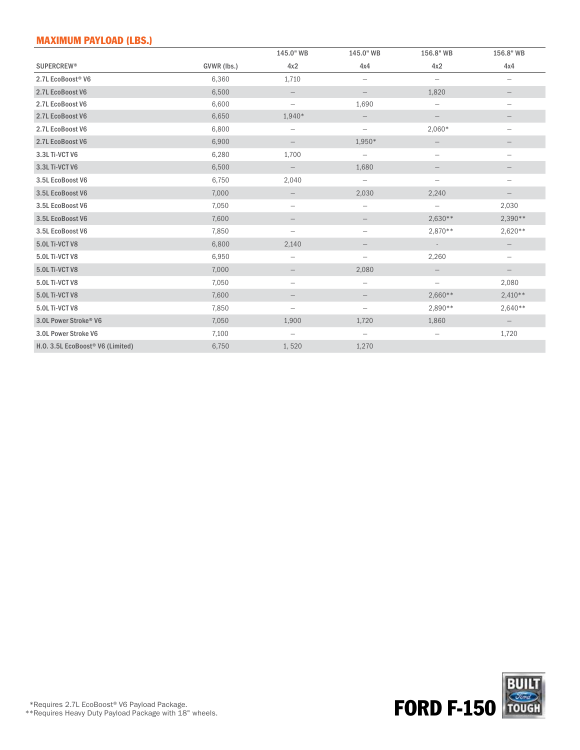# MAXIMUM PAYLOAD (LBS.)

|                                   |             | 145.0" WB                | 145.0" WB                | 156.8" WB                | 156.8" WB                |
|-----------------------------------|-------------|--------------------------|--------------------------|--------------------------|--------------------------|
| <b>SUPERCREW®</b>                 | GVWR (lbs.) | 4x2                      | 4x4                      | 4x2                      | 4x4                      |
| 2.7L EcoBoost® V6                 | 6,360       | 1,710                    | $\overline{\phantom{m}}$ | $\overline{\phantom{m}}$ | $\overline{\phantom{m}}$ |
| 2.7L EcoBoost V6                  | 6,500       |                          | $\overline{\phantom{0}}$ | 1,820                    |                          |
| 2.7L EcoBoost V6                  | 6,600       |                          | 1,690                    | $\overline{\phantom{m}}$ | $\qquad \qquad -$        |
| 2.7L EcoBoost V6                  | 6,650       | 1,940*                   | $\overline{\phantom{0}}$ |                          |                          |
| 2.7L EcoBoost V6                  | 6,800       | $\qquad \qquad -$        | $\overline{\phantom{m}}$ | 2,060*                   | $\overline{\phantom{m}}$ |
| 2.7L EcoBoost V6                  | 6,900       | -                        | 1,950*                   |                          |                          |
| 3.3L Ti-VCT V6                    | 6,280       | 1,700                    | $\overline{\phantom{m}}$ | $\overline{\phantom{m}}$ | $\overline{\phantom{m}}$ |
| 3.3L Ti-VCT V6                    | 6,500       | $\overline{\phantom{0}}$ | 1,680                    |                          |                          |
| 3.5L EcoBoost V6                  | 6,750       | 2,040                    | $\overline{\phantom{0}}$ | $\overline{\phantom{m}}$ | $\overline{\phantom{m}}$ |
| 3.5L EcoBoost V6                  | 7,000       |                          | 2,030                    | 2,240                    |                          |
| 3.5L EcoBoost V6                  | 7,050       |                          | $\overline{\phantom{m}}$ | $\overline{\phantom{m}}$ | 2,030                    |
| 3.5L EcoBoost V6                  | 7,600       |                          | $\overline{\phantom{0}}$ | $2,630**$                | 2,390**                  |
| 3.5L EcoBoost V6                  | 7,850       | $\overline{\phantom{0}}$ | $\overline{\phantom{m}}$ | 2,870 **                 | $2,620**$                |
| 5.0L Ti-VCT V8                    | 6,800       | 2,140                    | $\qquad \qquad -$        | $\overline{\phantom{a}}$ | $\overline{\phantom{m}}$ |
| 5.0L Ti-VCT V8                    | 6,950       | $\overline{\phantom{m}}$ | $\overline{\phantom{m}}$ | 2,260                    | $\overline{\phantom{m}}$ |
| 5.0L Ti-VCT V8                    | 7,000       |                          | 2,080                    |                          |                          |
| 5.0L Ti-VCT V8                    | 7,050       | $\qquad \qquad -$        | $\overline{\phantom{m}}$ | $\overline{\phantom{m}}$ | 2,080                    |
| 5.0L Ti-VCT V8                    | 7,600       |                          | $\qquad \qquad -$        | $2,660**$                | $2,410**$                |
| 5.0L Ti-VCT V8                    | 7,850       | $\qquad \qquad -$        | $\overline{\phantom{m}}$ | 2,890**                  | $2,640**$                |
| 3.0L Power Stroke <sup>®</sup> V6 | 7,050       | 1,900                    | 1,720                    | 1,860                    | $\overline{\phantom{0}}$ |
| 3.0L Power Stroke V6              | 7,100       | $\qquad \qquad -$        | $\overline{\phantom{m}}$ | $\overline{\phantom{m}}$ | 1,720                    |
| H.O. 3.5L EcoBoost® V6 (Limited)  | 6,750       | 1,520                    | 1,270                    |                          |                          |

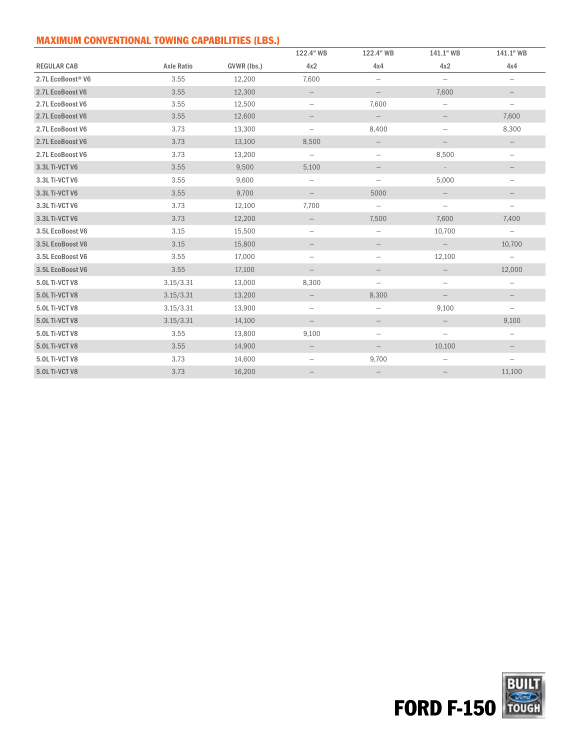# MAXIMUM CONVENTIONAL TOWING CAPABILITIES (LBS.)

|                       |                   |             | 122.4" WB                | 122.4" WB                | 141.1" WB                | 141.1" WB                |
|-----------------------|-------------------|-------------|--------------------------|--------------------------|--------------------------|--------------------------|
| <b>REGULAR CAB</b>    | <b>Axle Ratio</b> | GVWR (lbs.) | 4x2                      | 4x4                      | 4x2                      | 4x4                      |
| 2.7L EcoBoost® V6     | 3.55              | 12,200      | 7,600                    | $\overline{\phantom{m}}$ | $\overline{\phantom{0}}$ | $\overline{\phantom{m}}$ |
| 2.7L EcoBoost V6      | 3.55              | 12,300      | $\qquad \qquad -$        | $\overline{\phantom{0}}$ | 7,600                    |                          |
| 2.7L EcoBoost V6      | 3.55              | 12,500      | $\overline{\phantom{m}}$ | 7,600                    | —                        | $\overline{\phantom{m}}$ |
| 2.7L EcoBoost V6      | 3.55              | 12,600      | $\qquad \qquad -$        | $\overline{\phantom{0}}$ | $\qquad \qquad -$        | 7,600                    |
| 2.7L EcoBoost V6      | 3.73              | 13,300      | $\overline{\phantom{m}}$ | 8,400                    | $\overline{\phantom{m}}$ | 8,300                    |
| 2.7L EcoBoost V6      | 3.73              | 13,100      | 8,500                    | $\overline{\phantom{a}}$ | $\qquad \qquad -$        |                          |
| 2.7L EcoBoost V6      | 3.73              | 13,200      | $\overline{\phantom{m}}$ | $\overline{\phantom{m}}$ | 8,500                    | $\overline{\phantom{m}}$ |
| 3.3L Ti-VCT V6        | 3.55              | 9,500       | 5,100                    | $\qquad \qquad -$        | $\sim$                   |                          |
| 3.3L Ti-VCT V6        | 3.55              | 9,600       | $\overline{\phantom{m}}$ | $\overline{\phantom{m}}$ | 5,000                    | $\overline{\phantom{m}}$ |
| 3.3L Ti-VCT V6        | 3.55              | 9,700       | $\overline{\phantom{0}}$ | 5000                     | $\qquad \qquad -$        |                          |
| 3.3L Ti-VCT V6        | 3.73              | 12,100      | 7,700                    | $\overline{\phantom{0}}$ | $\overline{\phantom{0}}$ | $\overline{\phantom{0}}$ |
| 3.3L Ti-VCT V6        | 3.73              | 12,200      |                          | 7,500                    | 7,600                    | 7,400                    |
| 3.5L EcoBoost V6      | 3.15              | 15,500      | $\qquad \qquad -$        | $\overline{\phantom{m}}$ | 10,700                   | $\overline{\phantom{0}}$ |
| 3.5L EcoBoost V6      | 3.15              | 15,800      | $\overline{\phantom{a}}$ | $\overline{\phantom{m}}$ | $\qquad \qquad -$        | 10,700                   |
| 3.5L EcoBoost V6      | 3.55              | 17,000      | $\qquad \qquad -$        | $\overline{\phantom{m}}$ | 12,100                   | $\overline{\phantom{m}}$ |
| 3.5L EcoBoost V6      | 3.55              | 17,100      | $\overline{\phantom{m}}$ | $\qquad \qquad -$        |                          | 12,000                   |
| 5.0L Ti-VCT V8        | 3.15/3.31         | 13,000      | 8,300                    | $\overline{\phantom{m}}$ | $\overline{\phantom{m}}$ | $\overline{\phantom{m}}$ |
| 5.0L Ti-VCT V8        | 3.15/3.31         | 13,200      | $\overline{\phantom{0}}$ | 8,300                    |                          |                          |
| 5.0L Ti-VCT V8        | 3.15/3.31         | 13,900      | $\overline{\phantom{m}}$ | $\overline{\phantom{m}}$ | 9,100                    | $\overline{\phantom{m}}$ |
| 5.0L Ti-VCT V8        | 3.15/3.31         | 14,100      | $\overline{\phantom{m}}$ | $\overline{\phantom{0}}$ |                          | 9,100                    |
| 5.0L Ti-VCT V8        | 3.55              | 13,800      | 9,100                    | $\overline{\phantom{m}}$ | $\overline{\phantom{m}}$ | $\qquad \qquad -$        |
| <b>5.0L Ti-VCT V8</b> | 3.55              | 14,900      |                          |                          | 10,100                   |                          |
| 5.0L Ti-VCT V8        | 3.73              | 14,600      | $\overline{\phantom{m}}$ | 9,700                    | $\overline{\phantom{m}}$ | $\overline{\phantom{m}}$ |
| 5.0L Ti-VCT V8        | 3.73              | 16,200      |                          |                          |                          | 11,100                   |

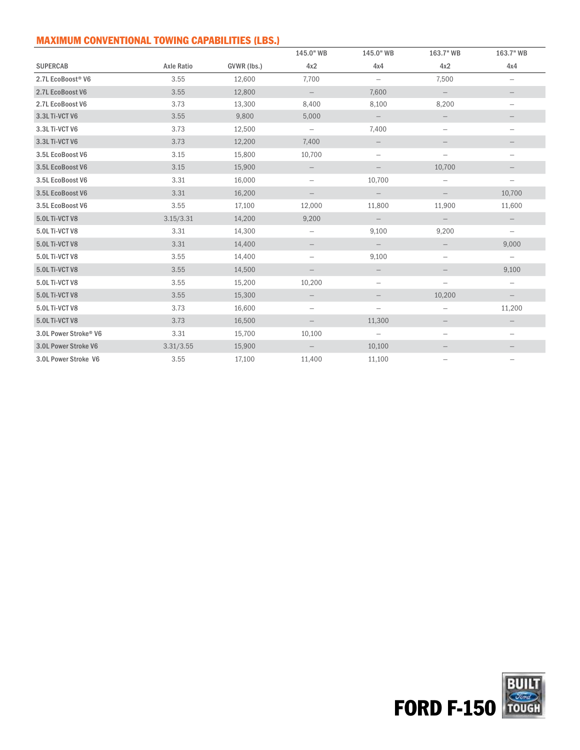# MAXIMUM CONVENTIONAL TOWING CAPABILITIES (LBS.)

|                                   |                   |             | 145.0" WB                | 145.0" WB                | 163.7" WB                | 163.7" WB                |
|-----------------------------------|-------------------|-------------|--------------------------|--------------------------|--------------------------|--------------------------|
| <b>SUPERCAB</b>                   | <b>Axle Ratio</b> | GVWR (lbs.) | 4x2                      | 4x4                      | 4x2                      | 4x4                      |
| 2.7L EcoBoost <sup>®</sup> V6     | 3.55              | 12,600      | 7,700                    | $\overline{\phantom{m}}$ | 7,500                    | $\qquad \qquad -$        |
| 2.7L EcoBoost V6                  | 3.55              | 12,800      | $\qquad \qquad -$        | 7,600                    | $\qquad \qquad -$        |                          |
| 2.7L EcoBoost V6                  | 3.73              | 13,300      | 8,400                    | 8,100                    | 8,200                    | $\qquad \qquad -$        |
| 3.3L Ti-VCT V6                    | 3.55              | 9,800       | 5,000                    | $\qquad \qquad -$        |                          |                          |
| 3.3L Ti-VCT V6                    | 3.73              | 12,500      | $\overline{\phantom{m}}$ | 7,400                    | $\overline{\phantom{m}}$ | $\qquad \qquad -$        |
| 3.3L Ti-VCT V6                    | 3.73              | 12,200      | 7,400                    | $\overline{\phantom{0}}$ |                          |                          |
| 3.5L EcoBoost V6                  | 3.15              | 15,800      | 10,700                   | $\overline{\phantom{m}}$ | $\overline{\phantom{m}}$ | -                        |
| 3.5L EcoBoost V6                  | 3.15              | 15,900      | $\qquad \qquad -$        | $\qquad \qquad -$        | 10,700                   |                          |
| 3.5L EcoBoost V6                  | 3.31              | 16,000      | $\qquad \qquad -$        | 10,700                   | $\qquad \qquad -$        | $\qquad \qquad -$        |
| 3.5L EcoBoost V6                  | 3.31              | 16,200      | $\overline{\phantom{m}}$ | $\qquad \qquad -$        | $\qquad \qquad -$        | 10,700                   |
| 3.5L EcoBoost V6                  | 3.55              | 17,100      | 12,000                   | 11,800                   | 11,900                   | 11,600                   |
| 5.0L Ti-VCT V8                    | 3.15/3.31         | 14,200      | 9,200                    | $\overline{\phantom{0}}$ | $\qquad \qquad -$        |                          |
| 5.0L Ti-VCT V8                    | 3.31              | 14,300      | $\qquad \qquad -$        | 9,100                    | 9,200                    | $\qquad \qquad -$        |
| 5.0L Ti-VCT V8                    | 3.31              | 14,400      |                          |                          |                          | 9,000                    |
| 5.0L Ti-VCT V8                    | 3.55              | 14,400      | $\qquad \qquad -$        | 9,100                    | $\qquad \qquad -$        | $\overline{\phantom{0}}$ |
| 5.0L Ti-VCT V8                    | 3.55              | 14,500      |                          |                          |                          | 9,100                    |
| 5.0L Ti-VCT V8                    | 3.55              | 15,200      | 10,200                   | $\overline{\phantom{m}}$ | $\qquad \qquad -$        | $\qquad \qquad -$        |
| 5.0L Ti-VCT V8                    | 3.55              | 15,300      |                          |                          | 10,200                   |                          |
| 5.0L Ti-VCT V8                    | 3.73              | 16,600      | $\overline{\phantom{m}}$ | $\overline{\phantom{m}}$ | $\qquad \qquad -$        | 11,200                   |
| 5.0L Ti-VCT V8                    | 3.73              | 16,500      |                          | 11,300                   |                          |                          |
| 3.0L Power Stroke <sup>®</sup> V6 | 3.31              | 15,700      | 10,100                   | $\overline{\phantom{0}}$ | $\qquad \qquad -$        | $\qquad \qquad -$        |
| 3.0L Power Stroke V6              | 3.31/3.55         | 15,900      |                          | 10,100                   |                          |                          |
| 3.0L Power Stroke V6              | 3.55              | 17,100      | 11,400                   | 11,100                   |                          |                          |